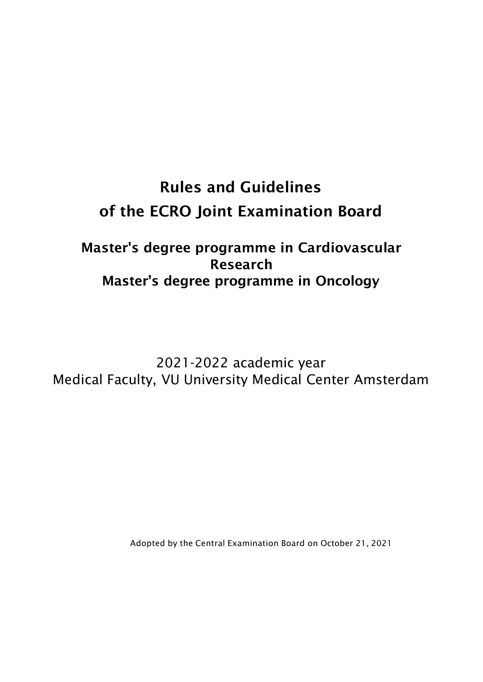# **Rules and Guidelines of the ECRO Joint Examination Board**

# **Master's degree programme in Cardiovascular Research Master's degree programme in Oncology**

2021-2022 academic year Medical Faculty, VU University Medical Center Amsterdam

Adopted by the Central Examination Board on October 21, 2021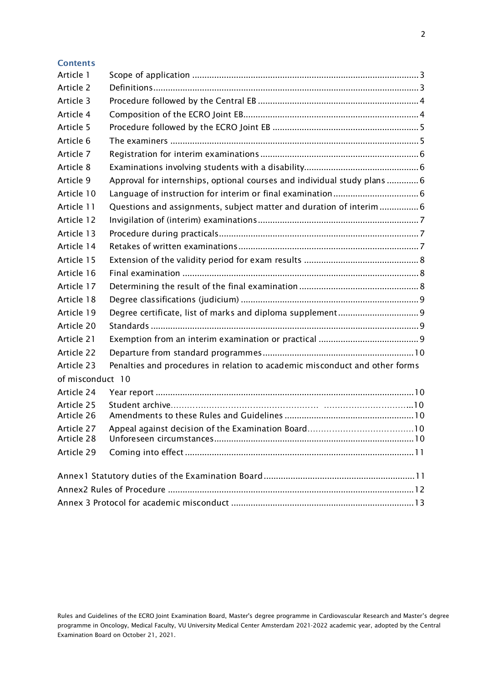| Contents |  |  |
|----------|--|--|
|          |  |  |

| Article 1                |                                                                             |  |  |  |
|--------------------------|-----------------------------------------------------------------------------|--|--|--|
| Article 2                |                                                                             |  |  |  |
| Article 3                |                                                                             |  |  |  |
| Article 4                |                                                                             |  |  |  |
| Article 5                |                                                                             |  |  |  |
| Article 6                |                                                                             |  |  |  |
| Article 7                |                                                                             |  |  |  |
| Article 8                |                                                                             |  |  |  |
| Article 9                | Approval for internships, optional courses and individual study plans  6    |  |  |  |
| Article 10               |                                                                             |  |  |  |
| Article 11               | Questions and assignments, subject matter and duration of interim  6        |  |  |  |
| Article 12               |                                                                             |  |  |  |
| Article 13               |                                                                             |  |  |  |
| Article 14               |                                                                             |  |  |  |
| Article 15               |                                                                             |  |  |  |
| Article 16               |                                                                             |  |  |  |
| Article 17               |                                                                             |  |  |  |
| Article 18               |                                                                             |  |  |  |
| Article 19               |                                                                             |  |  |  |
| Article 20               |                                                                             |  |  |  |
| Article 21               |                                                                             |  |  |  |
| Article 22               |                                                                             |  |  |  |
| Article 23               | Penalties and procedures in relation to academic misconduct and other forms |  |  |  |
| of misconduct 10         |                                                                             |  |  |  |
| Article 24               |                                                                             |  |  |  |
| Article 25               |                                                                             |  |  |  |
| Article 26               |                                                                             |  |  |  |
| Article 27<br>Article 28 |                                                                             |  |  |  |
| Article 29               |                                                                             |  |  |  |
|                          |                                                                             |  |  |  |
|                          |                                                                             |  |  |  |
|                          |                                                                             |  |  |  |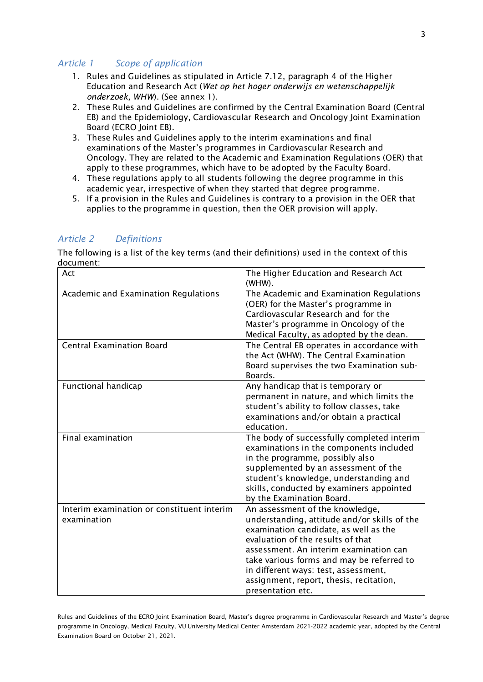#### <span id="page-2-0"></span>*Article 1 Scope of application*

- 1. Rules and Guidelines as stipulated in Article 7.12, paragraph 4 of the Higher Education and Research Act (*Wet op het hoger onderwijs en wetenschappelijk onderzoek, WHW*). (See annex 1).
- 2. These Rules and Guidelines are confirmed by the Central Examination Board (Central EB) and the Epidemiology, Cardiovascular Research and Oncology Joint Examination Board (ECRO Joint EB).
- 3. These Rules and Guidelines apply to the interim examinations and final examinations of the Master's programmes in Cardiovascular Research and Oncology. They are related to the Academic and Examination Regulations (OER) that apply to these programmes, which have to be adopted by the Faculty Board.
- 4. These regulations apply to all students following the degree programme in this academic year, irrespective of when they started that degree programme.
- 5. If a provision in the Rules and Guidelines is contrary to a provision in the OER that applies to the programme in question, then the OER provision will apply.

#### <span id="page-2-1"></span>*Article 2 Definitions*

The following is a list of the key terms (and their definitions) used in the context of this document:

| Act                                                       | The Higher Education and Research Act<br>(WHW).                                                                                                                                                                                                                                                                                                              |  |
|-----------------------------------------------------------|--------------------------------------------------------------------------------------------------------------------------------------------------------------------------------------------------------------------------------------------------------------------------------------------------------------------------------------------------------------|--|
| Academic and Examination Regulations                      | The Academic and Examination Regulations<br>(OER) for the Master's programme in<br>Cardiovascular Research and for the<br>Master's programme in Oncology of the<br>Medical Faculty, as adopted by the dean.                                                                                                                                                  |  |
| <b>Central Examination Board</b>                          | The Central EB operates in accordance with<br>the Act (WHW). The Central Examination<br>Board supervises the two Examination sub-<br>Boards.                                                                                                                                                                                                                 |  |
| <b>Functional handicap</b>                                | Any handicap that is temporary or<br>permanent in nature, and which limits the<br>student's ability to follow classes, take<br>examinations and/or obtain a practical<br>education.                                                                                                                                                                          |  |
| Final examination                                         | The body of successfully completed interim<br>examinations in the components included<br>in the programme, possibly also<br>supplemented by an assessment of the<br>student's knowledge, understanding and<br>skills, conducted by examiners appointed<br>by the Examination Board.                                                                          |  |
| Interim examination or constituent interim<br>examination | An assessment of the knowledge,<br>understanding, attitude and/or skills of the<br>examination candidate, as well as the<br>evaluation of the results of that<br>assessment. An interim examination can<br>take various forms and may be referred to<br>in different ways: test, assessment,<br>assignment, report, thesis, recitation,<br>presentation etc. |  |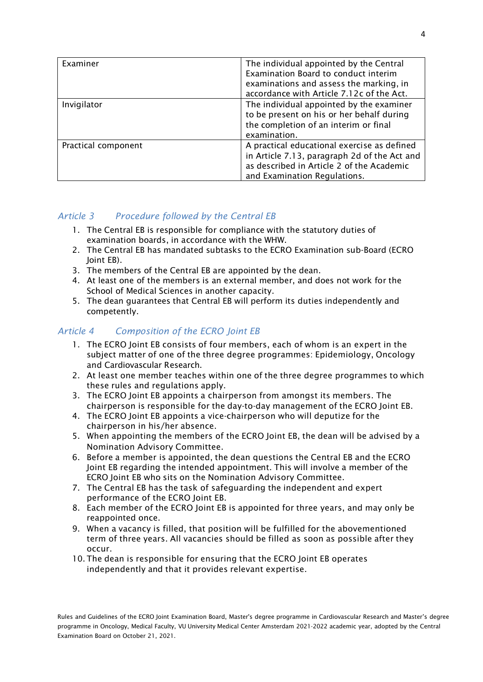| Examiner            | The individual appointed by the Central<br>Examination Board to conduct interim<br>examinations and assess the marking, in<br>accordance with Article 7.12c of the Act.  |
|---------------------|--------------------------------------------------------------------------------------------------------------------------------------------------------------------------|
| Invigilator         | The individual appointed by the examiner<br>to be present on his or her behalf during<br>the completion of an interim or final<br>examination.                           |
| Practical component | A practical educational exercise as defined<br>in Article 7.13, paragraph 2d of the Act and<br>as described in Article 2 of the Academic<br>and Examination Regulations. |

# <span id="page-3-0"></span>*Article 3 Procedure followed by the Central EB*

- 1. The Central EB is responsible for compliance with the statutory duties of examination boards, in accordance with the WHW.
- 2. The Central EB has mandated subtasks to the ECRO Examination sub-Board (ECRO Joint EB).
- 3. The members of the Central EB are appointed by the dean.
- 4. At least one of the members is an external member, and does not work for the School of Medical Sciences in another capacity.
- 5. The dean guarantees that Central EB will perform its duties independently and competently.

# <span id="page-3-1"></span>*Article 4 Composition of the ECRO Joint EB*

- 1. The ECRO Joint EB consists of four members, each of whom is an expert in the subject matter of one of the three degree programmes: Epidemiology, Oncology and Cardiovascular Research.
- 2. At least one member teaches within one of the three degree programmes to which these rules and regulations apply.
- 3. The ECRO Joint EB appoints a chairperson from amongst its members. The chairperson is responsible for the day-to-day management of the ECRO Joint EB.
- 4. The ECRO Joint EB appoints a vice-chairperson who will deputize for the chairperson in his/her absence.
- 5. When appointing the members of the ECRO Joint EB, the dean will be advised by a Nomination Advisory Committee.
- 6. Before a member is appointed, the dean questions the Central EB and the ECRO Joint EB regarding the intended appointment. This will involve a member of the ECRO Joint EB who sits on the Nomination Advisory Committee.
- 7. The Central EB has the task of safeguarding the independent and expert performance of the ECRO Joint EB.
- 8. Each member of the ECRO Joint EB is appointed for three years, and may only be reappointed once.
- 9. When a vacancy is filled, that position will be fulfilled for the abovementioned term of three years. All vacancies should be filled as soon as possible after they occur.
- 10. The dean is responsible for ensuring that the ECRO Joint EB operates independently and that it provides relevant expertise.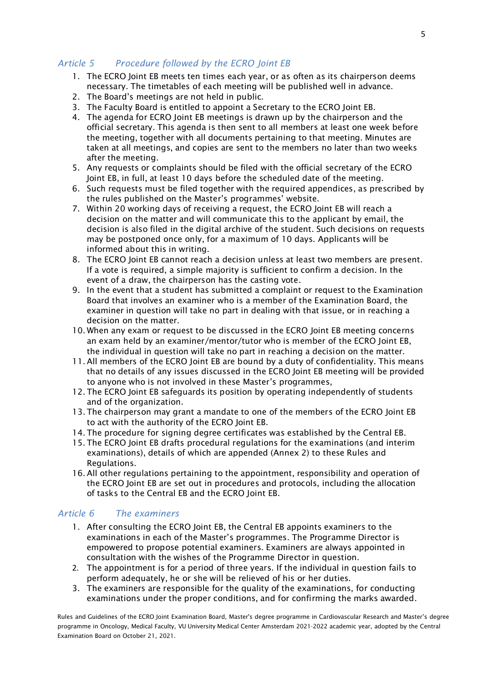# <span id="page-4-0"></span>*Article 5 Procedure followed by the ECRO Joint EB*

- 1. The ECRO Joint EB meets ten times each year, or as often as its chairperson deems necessary. The timetables of each meeting will be published well in advance.
- 2. The Board's meetings are not held in public.
- 3. The Faculty Board is entitled to appoint a Secretary to the ECRO Joint EB.
- 4. The agenda for ECRO Joint EB meetings is drawn up by the chairperson and the official secretary. This agenda is then sent to all members at least one week before the meeting, together with all documents pertaining to that meeting. Minutes are taken at all meetings, and copies are sent to the members no later than two weeks after the meeting.
- 5. Any requests or complaints should be filed with the official secretary of the ECRO Joint EB, in full, at least 10 days before the scheduled date of the meeting.
- 6. Such requests must be filed together with the required appendices, as prescribed by the rules published on the Master's programmes' website.
- 7. Within 20 working days of receiving a request, the ECRO Joint EB will reach a decision on the matter and will communicate this to the applicant by email, the decision is also filed in the digital archive of the student. Such decisions on requests may be postponed once only, for a maximum of 10 days. Applicants will be informed about this in writing.
- 8. The ECRO Joint EB cannot reach a decision unless at least two members are present. If a vote is required, a simple majority is sufficient to confirm a decision. In the event of a draw, the chairperson has the casting vote.
- 9. In the event that a student has submitted a complaint or request to the Examination Board that involves an examiner who is a member of the Examination Board, the examiner in question will take no part in dealing with that issue, or in reaching a decision on the matter.
- 10. When any exam or request to be discussed in the ECRO Joint EB meeting concerns an exam held by an examiner/mentor/tutor who is member of the ECRO Joint EB, the individual in question will take no part in reaching a decision on the matter.
- 11. All members of the ECRO Joint EB are bound by a duty of confidentiality. This means that no details of any issues discussed in the ECRO Joint EB meeting will be provided to anyone who is not involved in these Master's programmes,
- 12. The ECRO Joint EB safeguards its position by operating independently of students and of the organization.
- 13. The chairperson may grant a mandate to one of the members of the ECRO Joint EB to act with the authority of the ECRO Joint EB.
- 14. The procedure for signing degree certificates was established by the Central EB.
- 15. The ECRO Joint EB drafts procedural regulations for the examinations (and interim examinations), details of which are appended (Annex 2) to these Rules and Regulations.
- 16. All other regulations pertaining to the appointment, responsibility and operation of the ECRO Joint EB are set out in procedures and protocols, including the allocation of tasks to the Central EB and the ECRO Joint EB.

#### <span id="page-4-1"></span>*Article 6 The examiners*

- 1. After consulting the ECRO Joint EB, the Central EB appoints examiners to the examinations in each of the Master's programmes. The Programme Director is empowered to propose potential examiners. Examiners are always appointed in consultation with the wishes of the Programme Director in question.
- 2. The appointment is for a period of three years. If the individual in question fails to perform adequately, he or she will be relieved of his or her duties.
- 3. The examiners are responsible for the quality of the examinations, for conducting examinations under the proper conditions, and for confirming the marks awarded.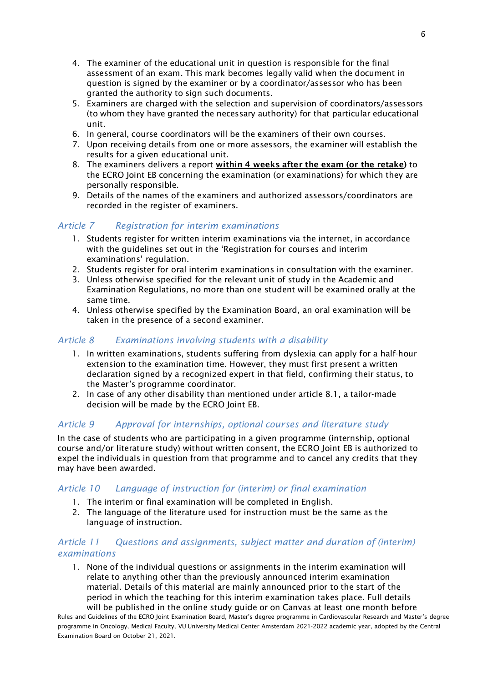- 4. The examiner of the educational unit in question is responsible for the final assessment of an exam. This mark becomes legally valid when the document in question is signed by the examiner or by a coordinator/assessor who has been granted the authority to sign such documents.
- 5. Examiners are charged with the selection and supervision of coordinators/assessors (to whom they have granted the necessary authority) for that particular educational unit.
- 6. In general, course coordinators will be the examiners of their own courses.
- 7. Upon receiving details from one or more assessors, the examiner will establish the results for a given educational unit.
- 8. The examiners delivers a report **within 4 weeks after the exam (or the retake)** to the ECRO Joint EB concerning the examination (or examinations) for which they are personally responsible.
- 9. Details of the names of the examiners and authorized assessors/coordinators are recorded in the register of examiners.

# <span id="page-5-0"></span>*Article 7 Registration for interim examinations*

- 1. Students register for written interim examinations via the internet, in accordance with the guidelines set out in the 'Registration for courses and interim examinations' regulation.
- 2. Students register for oral interim examinations in consultation with the examiner.
- 3. Unless otherwise specified for the relevant unit of study in the Academic and Examination Regulations, no more than one student will be examined orally at the same time.
- 4. Unless otherwise specified by the Examination Board, an oral examination will be taken in the presence of a second examiner.

# <span id="page-5-1"></span>*Article 8 Examinations involving students with a disability*

- 1. In written examinations, students suffering from dyslexia can apply for a half-hour extension to the examination time. However, they must first present a written declaration signed by a recognized expert in that field, confirming their status, to the Master's programme coordinator.
- 2. In case of any other disability than mentioned under article 8.1, a tailor-made decision will be made by the ECRO Joint EB.

# <span id="page-5-2"></span>*Article 9 Approval for internships, optional courses and literature study*

In the case of students who are participating in a given programme (internship, optional course and/or literature study) without written consent, the ECRO Joint EB is authorized to expel the individuals in question from that programme and to cancel any credits that they may have been awarded.

#### <span id="page-5-3"></span>*Article 10 Language of instruction for (interim) or final examination*

- 1. The interim or final examination will be completed in English.
- 2. The language of the literature used for instruction must be the same as the language of instruction.

#### <span id="page-5-4"></span>*Article 11 Questions and assignments, subject matter and duration of (interim) examinations*

1. None of the individual questions or assignments in the interim examination will relate to anything other than the previously announced interim examination material. Details of this material are mainly announced prior to the start of the period in which the teaching for this interim examination takes place. Full details will be published in the online study guide or on Canvas at least one month before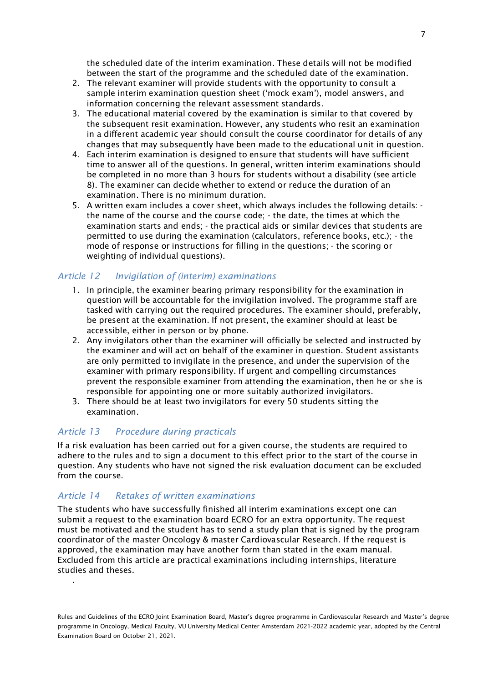the scheduled date of the interim examination. These details will not be modified between the start of the programme and the scheduled date of the examination.

- 2. The relevant examiner will provide students with the opportunity to consult a sample interim examination question sheet ('mock exam'), model answers, and information concerning the relevant assessment standards.
- 3. The educational material covered by the examination is similar to that covered by the subsequent resit examination. However, any students who resit an examination in a different academic year should consult the course coordinator for details of any changes that may subsequently have been made to the educational unit in question.
- 4. Each interim examination is designed to ensure that students will have sufficient time to answer all of the questions. In general, written interim examinations should be completed in no more than 3 hours for students without a disability (see article 8). The examiner can decide whether to extend or reduce the duration of an examination. There is no minimum duration.
- 5. A written exam includes a cover sheet, which always includes the following details: the name of the course and the course code; - the date, the times at which the examination starts and ends; - the practical aids or similar devices that students are permitted to use during the examination (calculators, reference books, etc.); - the mode of response or instructions for filling in the questions; - the scoring or weighting of individual questions).

#### <span id="page-6-0"></span>*Article 12 Invigilation of (interim) examinations*

- 1. In principle, the examiner bearing primary responsibility for the examination in question will be accountable for the invigilation involved. The programme staff are tasked with carrying out the required procedures. The examiner should, preferably, be present at the examination. If not present, the examiner should at least be accessible, either in person or by phone.
- 2. Any invigilators other than the examiner will officially be selected and instructed by the examiner and will act on behalf of the examiner in question. Student assistants are only permitted to invigilate in the presence, and under the supervision of the examiner with primary responsibility. If urgent and compelling circumstances prevent the responsible examiner from attending the examination, then he or she is responsible for appointing one or more suitably authorized invigilators.
- 3. There should be at least two invigilators for every 50 students sitting the examination.

#### <span id="page-6-1"></span>*Article 13 Procedure during practicals*

If a risk evaluation has been carried out for a given course, the students are required to adhere to the rules and to sign a document to this effect prior to the start of the course in question. Any students who have not signed the risk evaluation document can be excluded from the course.

#### <span id="page-6-2"></span>*Article 14 Retakes of written examinations*

.

The students who have successfully finished all interim examinations except one can submit a request to the examination board ECRO for an extra opportunity. The request must be motivated and the student has to send a study plan that is signed by the program coordinator of the master Oncology & master Cardiovascular Research. If the request is approved, the examination may have another form than stated in the exam manual. Excluded from this article are practical examinations including internships, literature studies and theses.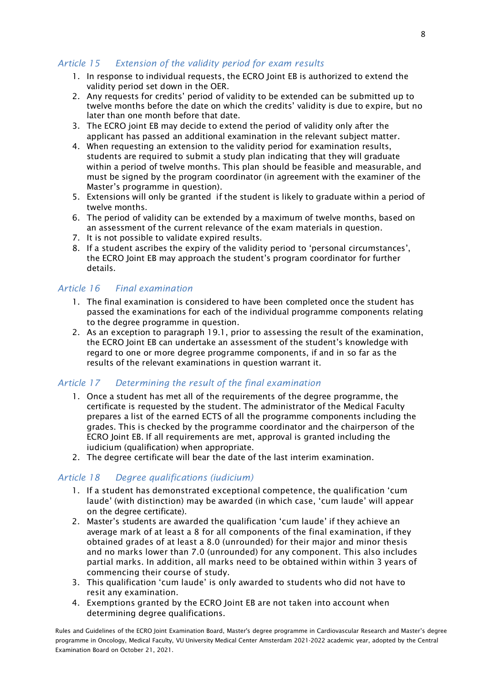#### <span id="page-7-0"></span>*Article 15 Extension of the validity period for exam results*

- 1. In response to individual requests, the ECRO Joint EB is authorized to extend the validity period set down in the OER.
- 2. Any requests for credits' period of validity to be extended can be submitted up to twelve months before the date on which the credits' validity is due to expire, but no later than one month before that date.
- 3. The ECRO joint EB may decide to extend the period of validity only after the applicant has passed an additional examination in the relevant subject matter.
- 4. When requesting an extension to the validity period for examination results, students are required to submit a study plan indicating that they will graduate within a period of twelve months. This plan should be feasible and measurable, and must be signed by the program coordinator (in agreement with the examiner of the Master's programme in question).
- 5. Extensions will only be granted if the student is likely to graduate within a period of twelve months.
- 6. The period of validity can be extended by a maximum of twelve months, based on an assessment of the current relevance of the exam materials in question.
- 7. It is not possible to validate expired results.
- 8. If a student ascribes the expiry of the validity period to 'personal circumstances', the ECRO Joint EB may approach the student's program coordinator for further details.

#### <span id="page-7-1"></span>*Article 16 Final examination*

- 1. The final examination is considered to have been completed once the student has passed the examinations for each of the individual programme components relating to the degree programme in question.
- 2. As an exception to paragraph 19.1, prior to assessing the result of the examination, the ECRO Joint EB can undertake an assessment of the student's knowledge with regard to one or more degree programme components, if and in so far as the results of the relevant examinations in question warrant it.

#### <span id="page-7-2"></span>*Article 17 Determining the result of the final examination*

- 1. Once a student has met all of the requirements of the degree programme, the certificate is requested by the student. The administrator of the Medical Faculty prepares a list of the earned ECTS of all the programme components including the grades. This is checked by the programme coordinator and the chairperson of the ECRO Joint EB. If all requirements are met, approval is granted including the iudicium (qualification) when appropriate.
- 2. The degree certificate will bear the date of the last interim examination.

#### <span id="page-7-3"></span>*Article 18 Degree qualifications (iudicium)*

- 1. If a student has demonstrated exceptional competence, the qualification 'cum laude' (with distinction) may be awarded (in which case, 'cum laude' will appear on the degree certificate).
- 2. Master's students are awarded the qualification 'cum laude' if they achieve an average mark of at least a 8 for all components of the final examination, if they obtained grades of at least a 8.0 (unrounded) for their major and minor thesis and no marks lower than 7.0 (unrounded) for any component. This also includes partial marks. In addition, all marks need to be obtained within within 3 years of commencing their course of study.
- 3. This qualification 'cum laude' is only awarded to students who did not have to resit any examination.
- 4. Exemptions granted by the ECRO Joint EB are not taken into account when determining degree qualifications.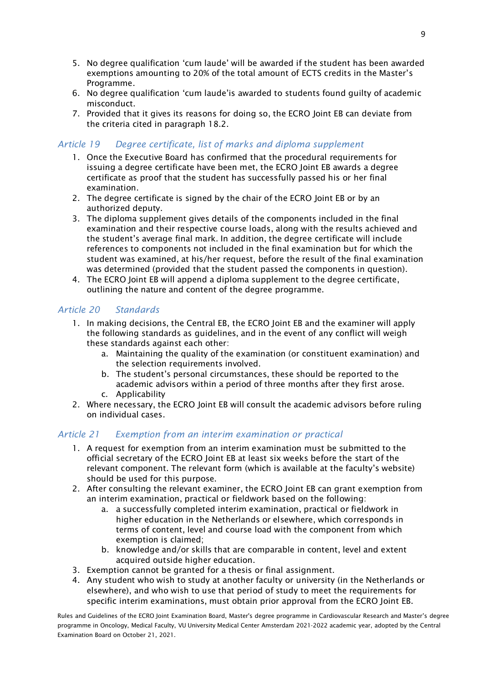- 5. No degree qualification 'cum laude' will be awarded if the student has been awarded exemptions amounting to 20% of the total amount of ECTS credits in the Master's Programme.
- 6. No degree qualification 'cum laude'is awarded to students found guilty of academic misconduct.
- 7. Provided that it gives its reasons for doing so, the ECRO Joint EB can deviate from the criteria cited in paragraph 18.2.

#### <span id="page-8-0"></span>*Article 19 Degree certificate, list of marks and diploma supplement*

- 1. Once the Executive Board has confirmed that the procedural requirements for issuing a degree certificate have been met, the ECRO Joint EB awards a degree certificate as proof that the student has successfully passed his or her final examination.
- 2. The degree certificate is signed by the chair of the ECRO Joint EB or by an authorized deputy.
- 3. The diploma supplement gives details of the components included in the final examination and their respective course loads, along with the results achieved and the student's average final mark. In addition, the degree certificate will include references to components not included in the final examination but for which the student was examined, at his/her request, before the result of the final examination was determined (provided that the student passed the components in question).
- 4. The ECRO Joint EB will append a diploma supplement to the degree certificate, outlining the nature and content of the degree programme.

#### <span id="page-8-1"></span>*Article 20 Standards*

- 1. In making decisions, the Central EB, the ECRO Joint EB and the examiner will apply the following standards as guidelines, and in the event of any conflict will weigh these standards against each other:
	- a. Maintaining the quality of the examination (or constituent examination) and the selection requirements involved.
	- b. The student's personal circumstances, these should be reported to the academic advisors within a period of three months after they first arose.
	- c. Applicability
- 2. Where necessary, the ECRO Joint EB will consult the academic advisors before ruling on individual cases.

#### <span id="page-8-2"></span>*Article 21 Exemption from an interim examination or practical*

- 1. A request for exemption from an interim examination must be submitted to the official secretary of the ECRO Joint EB at least six weeks before the start of the relevant component. The relevant form (which is available at the faculty's website) should be used for this purpose.
- 2. After consulting the relevant examiner, the ECRO Joint EB can grant exemption from an interim examination, practical or fieldwork based on the following:
	- a. a successfully completed interim examination, practical or fieldwork in higher education in the Netherlands or elsewhere, which corresponds in terms of content, level and course load with the component from which exemption is claimed;
	- b. knowledge and/or skills that are comparable in content, level and extent acquired outside higher education.
- 3. Exemption cannot be granted for a thesis or final assignment.
- 4. Any student who wish to study at another faculty or university (in the Netherlands or elsewhere), and who wish to use that period of study to meet the requirements for specific interim examinations, must obtain prior approval from the ECRO Joint EB.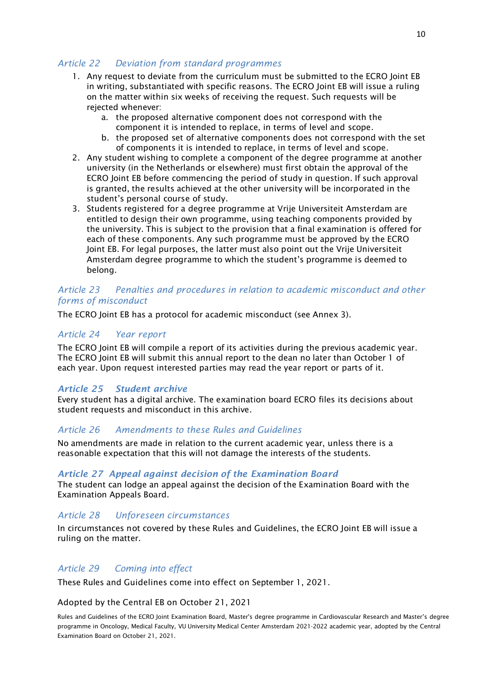# <span id="page-9-0"></span>*Article 22 Deviation from standard programmes*

- 1. Any request to deviate from the curriculum must be submitted to the ECRO Joint EB in writing, substantiated with specific reasons. The ECRO Joint EB will issue a ruling on the matter within six weeks of receiving the request. Such requests will be rejected whenever:
	- a. the proposed alternative component does not correspond with the component it is intended to replace, in terms of level and scope.
	- b. the proposed set of alternative components does not correspond with the set of components it is intended to replace, in terms of level and scope.
- 2. Any student wishing to complete a component of the degree programme at another university (in the Netherlands or elsewhere) must first obtain the approval of the ECRO Joint EB before commencing the period of study in question. If such approval is granted, the results achieved at the other university will be incorporated in the student's personal course of study.
- 3. Students registered for a degree programme at Vrije Universiteit Amsterdam are entitled to design their own programme, using teaching components provided by the university. This is subject to the provision that a final examination is offered for each of these components. Any such programme must be approved by the ECRO Joint EB. For legal purposes, the latter must also point out the Vrije Universiteit Amsterdam degree programme to which the student's programme is deemed to belong.

#### <span id="page-9-1"></span>*Article 23 Penalties and procedures in relation to academic misconduct and other forms of misconduct*

<span id="page-9-2"></span>The ECRO Joint EB has a protocol for academic misconduct (see Annex 3).

#### *Article 24 Year report*

The ECRO Joint EB will compile a report of its activities during the previous academic year. The ECRO Joint EB will submit this annual report to the dean no later than October 1 of each year. Upon request interested parties may read the year report or parts of it.

#### *Article 25 Student archive*

Every student has a digital archive. The examination board ECRO files its decisions about student requests and misconduct in this archive.

#### <span id="page-9-3"></span>*Article 26 Amendments to these Rules and Guidelines*

No amendments are made in relation to the current academic year, unless there is a reasonable expectation that this will not damage the interests of the students.

#### *Article 27 Appeal against decision of the Examination Board*

The student can lodge an appeal against the decision of the Examination Board with the Examination Appeals Board.

#### <span id="page-9-4"></span>*Article 28 Unforeseen circumstances*

In circumstances not covered by these Rules and Guidelines, the ECRO Joint EB will issue a ruling on the matter.

#### <span id="page-9-5"></span>*Article 29 Coming into effect*

These Rules and Guidelines come into effect on September 1, 2021.

#### Adopted by the Central EB on October 21, 2021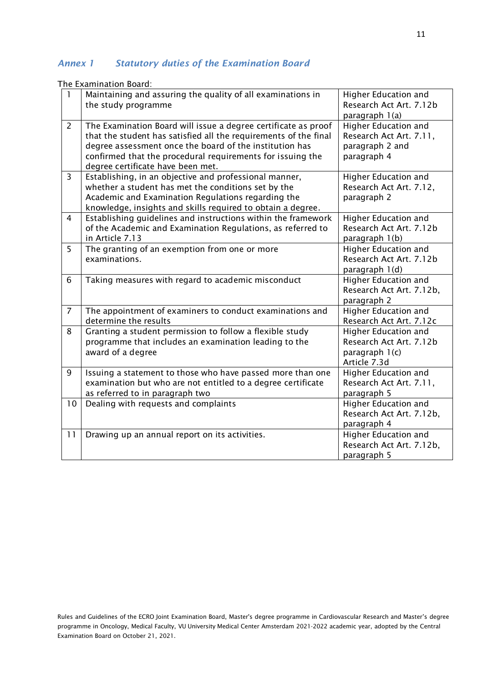# *Annex 1 Statutory duties of the Examination Board*

The Examination Board:

| 1              | Maintaining and assuring the quality of all examinations in<br>the study programme                                                                                                                                                                                                               | Higher Education and<br>Research Act Art. 7.12b<br>paragraph 1(a)                 |
|----------------|--------------------------------------------------------------------------------------------------------------------------------------------------------------------------------------------------------------------------------------------------------------------------------------------------|-----------------------------------------------------------------------------------|
| $\overline{2}$ | The Examination Board will issue a degree certificate as proof<br>that the student has satisfied all the requirements of the final<br>degree assessment once the board of the institution has<br>confirmed that the procedural requirements for issuing the<br>degree certificate have been met. | Higher Education and<br>Research Act Art. 7.11,<br>paragraph 2 and<br>paragraph 4 |
| $\overline{3}$ | Establishing, in an objective and professional manner,<br>whether a student has met the conditions set by the<br>Academic and Examination Regulations regarding the<br>knowledge, insights and skills required to obtain a degree.                                                               | Higher Education and<br>Research Act Art. 7.12,<br>paragraph 2                    |
| 4              | Establishing guidelines and instructions within the framework<br>of the Academic and Examination Regulations, as referred to<br>in Article 7.13                                                                                                                                                  | Higher Education and<br>Research Act Art. 7.12b<br>paragraph 1(b)                 |
| 5              | The granting of an exemption from one or more<br>examinations.                                                                                                                                                                                                                                   | Higher Education and<br>Research Act Art. 7.12b<br>paragraph 1(d)                 |
| 6              | Taking measures with regard to academic misconduct                                                                                                                                                                                                                                               | Higher Education and<br>Research Act Art. 7.12b,<br>paragraph 2                   |
| $\overline{7}$ | The appointment of examiners to conduct examinations and<br>determine the results                                                                                                                                                                                                                | Higher Education and<br>Research Act Art. 7.12c                                   |
| 8              | Granting a student permission to follow a flexible study<br>programme that includes an examination leading to the<br>award of a degree                                                                                                                                                           | Higher Education and<br>Research Act Art. 7.12b<br>paragraph 1(c)<br>Article 7.3d |
| 9              | Issuing a statement to those who have passed more than one<br>examination but who are not entitled to a degree certificate<br>as referred to in paragraph two                                                                                                                                    | Higher Education and<br>Research Act Art. 7.11,<br>paragraph 5                    |
| 10             | Dealing with requests and complaints                                                                                                                                                                                                                                                             | Higher Education and<br>Research Act Art. 7.12b,<br>paragraph 4                   |
| 11             | Drawing up an annual report on its activities.                                                                                                                                                                                                                                                   | Higher Education and<br>Research Act Art. 7.12b,<br>paragraph 5                   |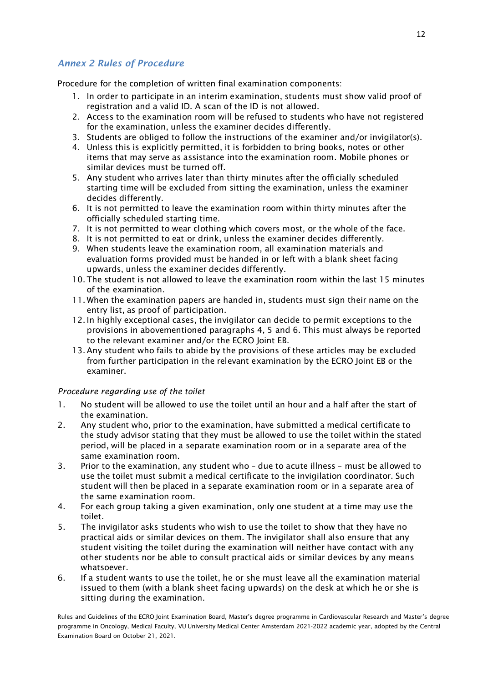# *Annex 2 Rules of Procedure*

<span id="page-11-0"></span>Procedure for the completion of written final examination components:

- 1. In order to participate in an interim examination, students must show valid proof of registration and a valid ID. A scan of the ID is not allowed.
- 2. Access to the examination room will be refused to students who have not registered for the examination, unless the examiner decides differently.
- 3. Students are obliged to follow the instructions of the examiner and/or invigilator(s).
- 4. Unless this is explicitly permitted, it is forbidden to bring books, notes or other items that may serve as assistance into the examination room. Mobile phones or similar devices must be turned off.
- 5. Any student who arrives later than thirty minutes after the officially scheduled starting time will be excluded from sitting the examination, unless the examiner decides differently.
- 6. It is not permitted to leave the examination room within thirty minutes after the officially scheduled starting time.
- 7. It is not permitted to wear clothing which covers most, or the whole of the face.
- 8. It is not permitted to eat or drink, unless the examiner decides differently.
- 9. When students leave the examination room, all examination materials and evaluation forms provided must be handed in or left with a blank sheet facing upwards, unless the examiner decides differently.
- 10. The student is not allowed to leave the examination room within the last 15 minutes of the examination.
- 11. When the examination papers are handed in, students must sign their name on the entry list, as proof of participation.
- 12. In highly exceptional cases, the invigilator can decide to permit exceptions to the provisions in abovementioned paragraphs 4, 5 and 6. This must always be reported to the relevant examiner and/or the ECRO Joint EB.
- 13. Any student who fails to abide by the provisions of these articles may be excluded from further participation in the relevant examination by the ECRO Joint EB or the examiner.

#### *Procedure regarding use of the toilet*

- 1. No student will be allowed to use the toilet until an hour and a half after the start of the examination.
- 2. Any student who, prior to the examination, have submitted a medical certificate to the study advisor stating that they must be allowed to use the toilet within the stated period, will be placed in a separate examination room or in a separate area of the same examination room.
- 3. Prior to the examination, any student who due to acute illness must be allowed to use the toilet must submit a medical certificate to the invigilation coordinator. Such student will then be placed in a separate examination room or in a separate area of the same examination room.
- 4. For each group taking a given examination, only one student at a time may use the toilet.
- 5. The invigilator asks students who wish to use the toilet to show that they have no practical aids or similar devices on them. The invigilator shall also ensure that any student visiting the toilet during the examination will neither have contact with any other students nor be able to consult practical aids or similar devices by any means whatsoever.
- 6. If a student wants to use the toilet, he or she must leave all the examination material issued to them (with a blank sheet facing upwards) on the desk at which he or she is sitting during the examination.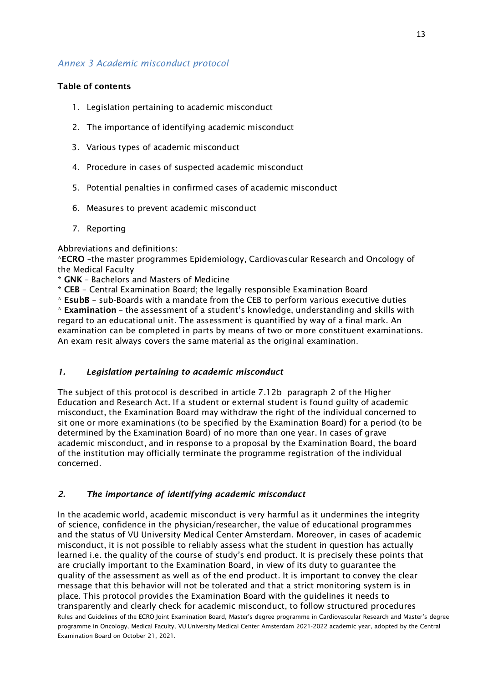#### <span id="page-12-0"></span>*Annex 3 Academic misconduct protocol*

#### **Table of contents**

- 1. Legislation pertaining to academic misconduct
- 2. The importance of identifying academic misconduct
- 3. Various types of academic misconduct
- 4. Procedure in cases of suspected academic misconduct
- 5. Potential penalties in confirmed cases of academic misconduct
- 6. Measures to prevent academic misconduct
- 7. Reporting

Abbreviations and definitions:

\***ECRO** –the master programmes Epidemiology, Cardiovascular Research and Oncology of the Medical Faculty

\* **GNK** – Bachelors and Masters of Medicine

\* **CEB** – Central Examination Board; the legally responsible Examination Board

\* **EsubB** – sub-Boards with a mandate from the CEB to perform various executive duties \* **Examination** – the assessment of a student's knowledge, understanding and skills with regard to an educational unit. The assessment is quantified by way of a final mark. An examination can be completed in parts by means of two or more constituent examinations. An exam resit always covers the same material as the original examination.

#### *1. Legislation pertaining to academic misconduct*

The subject of this protocol is described in article 7.12b paragraph 2 of the Higher Education and Research Act. If a student or external student is found guilty of academic misconduct, the Examination Board may withdraw the right of the individual concerned to sit one or more examinations (to be specified by the Examination Board) for a period (to be determined by the Examination Board) of no more than one year. In cases of grave academic misconduct, and in response to a proposal by the Examination Board, the board of the institution may officially terminate the programme registration of the individual concerned.

#### *2. The importance of identifying academic misconduct*

In the academic world, academic misconduct is very harmful as it undermines the integrity of science, confidence in the physician/researcher, the value of educational programmes and the status of VU University Medical Center Amsterdam. Moreover, in cases of academic misconduct, it is not possible to reliably assess what the student in question has actually learned i.e. the quality of the course of study's end product. It is precisely these points that are crucially important to the Examination Board, in view of its duty to guarantee the quality of the assessment as well as of the end product. It is important to convey the clear message that this behavior will not be tolerated and that a strict monitoring system is in place. This protocol provides the Examination Board with the guidelines it needs to transparently and clearly check for academic misconduct, to follow structured procedures Rules and Guidelines of the ECRO Joint Examination Board, Master's degree programme in Cardiovascular Research and Master's degree programme in Oncology, Medical Faculty, VU University Medical Center Amsterdam 2021-2022 academic year, adopted by the Central Examination Board on October 21, 2021.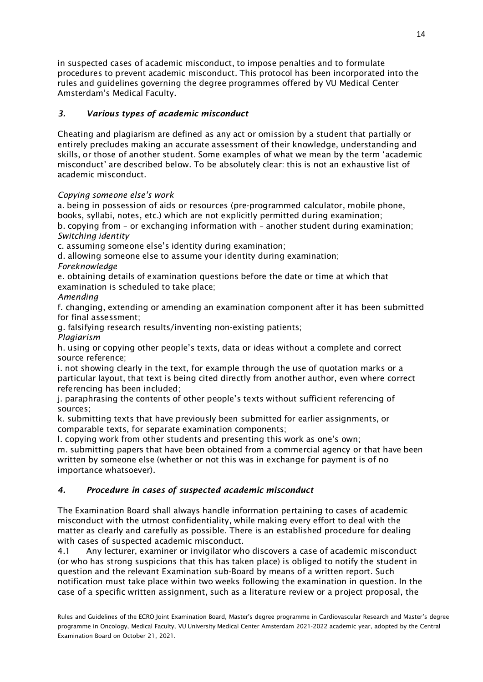in suspected cases of academic misconduct, to impose penalties and to formulate procedures to prevent academic misconduct. This protocol has been incorporated into the rules and guidelines governing the degree programmes offered by VU Medical Center Amsterdam's Medical Faculty.

#### *3. Various types of academic misconduct*

Cheating and plagiarism are defined as any act or omission by a student that partially or entirely precludes making an accurate assessment of their knowledge, understanding and skills, or those of another student. Some examples of what we mean by the term 'academic misconduct' are described below. To be absolutely clear: this is not an exhaustive list of academic misconduct.

#### *Copying someone else's work*

a. being in possession of aids or resources (pre-programmed calculator, mobile phone, books, syllabi, notes, etc.) which are not explicitly permitted during examination;

b. copying from – or exchanging information with – another student during examination; *Switching identity*

c. assuming someone else's identity during examination;

d. allowing someone else to assume your identity during examination;

#### *Foreknowledge*

e. obtaining details of examination questions before the date or time at which that examination is scheduled to take place;

#### *Amending*

f. changing, extending or amending an examination component after it has been submitted for final assessment;

g. falsifying research results/inventing non-existing patients;

*Plagiarism*

h. using or copying other people's texts, data or ideas without a complete and correct source reference;

i. not showing clearly in the text, for example through the use of quotation marks or a particular layout, that text is being cited directly from another author, even where correct referencing has been included;

j. paraphrasing the contents of other people's texts without sufficient referencing of sources;

k. submitting texts that have previously been submitted for earlier assignments, or comparable texts, for separate examination components;

l. copying work from other students and presenting this work as one's own; m. submitting papers that have been obtained from a commercial agency or that have been written by someone else (whether or not this was in exchange for payment is of no

importance whatsoever).

#### *4. Procedure in cases of suspected academic misconduct*

The Examination Board shall always handle information pertaining to cases of academic misconduct with the utmost confidentiality, while making every effort to deal with the matter as clearly and carefully as possible. There is an established procedure for dealing with cases of suspected academic misconduct.

4.1 Any lecturer, examiner or invigilator who discovers a case of academic misconduct (or who has strong suspicions that this has taken place) is obliged to notify the student in question and the relevant Examination sub-Board by means of a written report. Such notification must take place within two weeks following the examination in question. In the case of a specific written assignment, such as a literature review or a project proposal, the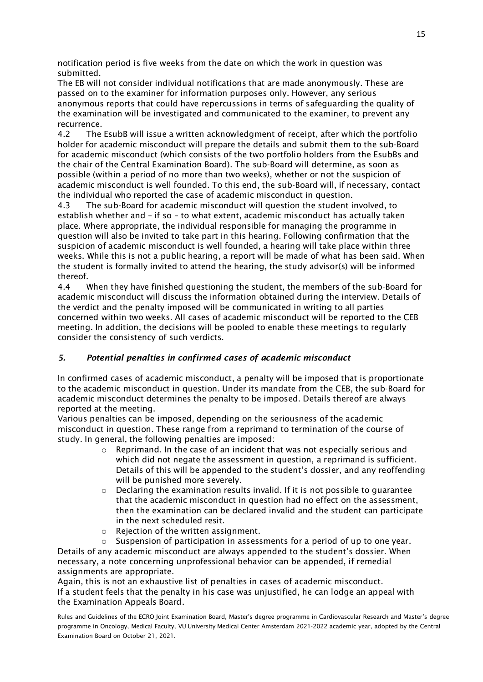notification period is five weeks from the date on which the work in question was submitted.

The EB will not consider individual notifications that are made anonymously. These are passed on to the examiner for information purposes only. However, any serious anonymous reports that could have repercussions in terms of safeguarding the quality of the examination will be investigated and communicated to the examiner, to prevent any recurrence.

4.2 The EsubB will issue a written acknowledgment of receipt, after which the portfolio holder for academic misconduct will prepare the details and submit them to the sub-Board for academic misconduct (which consists of the two portfolio holders from the EsubBs and the chair of the Central Examination Board). The sub-Board will determine, as soon as possible (within a period of no more than two weeks), whether or not the suspicion of academic misconduct is well founded. To this end, the sub-Board will, if necessary, contact the individual who reported the case of academic misconduct in question.

4.3 The sub-Board for academic misconduct will question the student involved, to establish whether and – if so – to what extent, academic misconduct has actually taken place. Where appropriate, the individual responsible for managing the programme in question will also be invited to take part in this hearing. Following confirmation that the suspicion of academic misconduct is well founded, a hearing will take place within three weeks. While this is not a public hearing, a report will be made of what has been said. When the student is formally invited to attend the hearing, the study advisor(s) will be informed thereof.

4.4 When they have finished questioning the student, the members of the sub-Board for academic misconduct will discuss the information obtained during the interview. Details of the verdict and the penalty imposed will be communicated in writing to all parties concerned within two weeks. All cases of academic misconduct will be reported to the CEB meeting. In addition, the decisions will be pooled to enable these meetings to regularly consider the consistency of such verdicts.

#### *5. Potential penalties in confirmed cases of academic misconduct*

In confirmed cases of academic misconduct, a penalty will be imposed that is proportionate to the academic misconduct in question. Under its mandate from the CEB, the sub-Board for academic misconduct determines the penalty to be imposed. Details thereof are always reported at the meeting.

Various penalties can be imposed, depending on the seriousness of the academic misconduct in question. These range from a reprimand to termination of the course of study. In general, the following penalties are imposed:

- $\circ$  Reprimand. In the case of an incident that was not especially serious and which did not negate the assessment in question, a reprimand is sufficient. Details of this will be appended to the student's dossier, and any reoffending will be punished more severely.
- $\circ$  Declaring the examination results invalid. If it is not possible to guarantee that the academic misconduct in question had no effect on the assessment, then the examination can be declared invalid and the student can participate in the next scheduled resit.
- $\circ$  Rejection of the written assignment.<br> $\circ$  Suspension of participation in assess

Suspension of participation in assessments for a period of up to one year. Details of any academic misconduct are always appended to the student's dossier. When necessary, a note concerning unprofessional behavior can be appended, if remedial assignments are appropriate.

Again, this is not an exhaustive list of penalties in cases of academic misconduct. If a student feels that the penalty in his case was unjustified, he can lodge an appeal with the Examination Appeals Board.